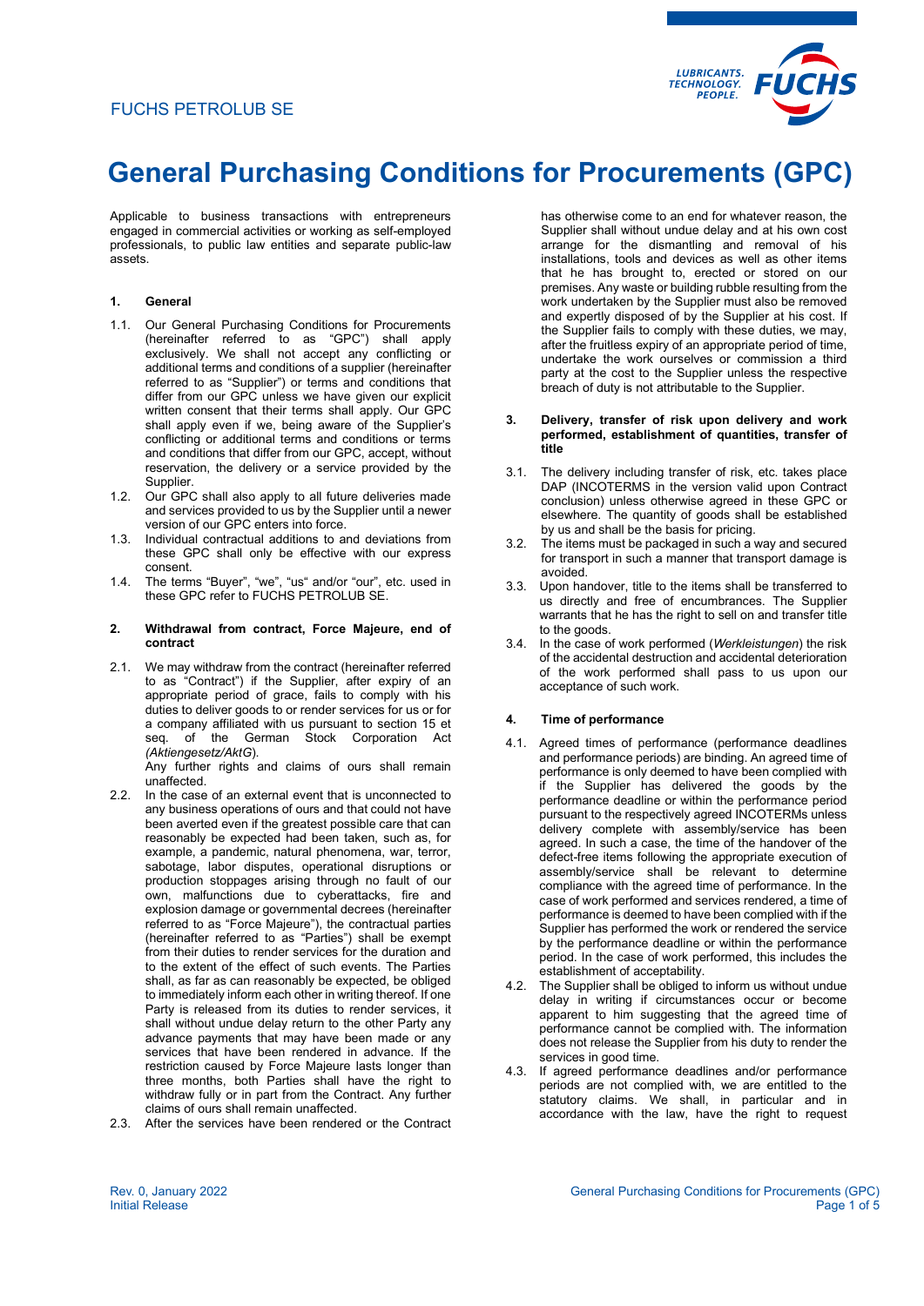

Applicable to business transactions with entrepreneurs engaged in commercial activities or working as self-employed professionals, to public law entities and separate public-law assets.

### **1. General**

- 1.1. Our General Purchasing Conditions for Procurements (hereinafter referred to as "GPC") shall apply exclusively. We shall not accept any conflicting or additional terms and conditions of a supplier (hereinafter referred to as "Supplier") or terms and conditions that differ from our GPC unless we have given our explicit written consent that their terms shall apply. Our GPC shall apply even if we, being aware of the Supplier's conflicting or additional terms and conditions or terms and conditions that differ from our GPC, accept, without reservation, the delivery or a service provided by the Supplier.
- 1.2. Our GPC shall also apply to all future deliveries made and services provided to us by the Supplier until a newer version of our GPC enters into force.
- 1.3. Individual contractual additions to and deviations from these GPC shall only be effective with our express consent.
- 1.4. The terms "Buyer", "we", "us" and/or "our", etc. used in these GPC refer to FUCHS PETROLUB SE.

#### **2. Withdrawal from contract, Force Majeure, end of contract**

2.1. We may withdraw from the contract (hereinafter referred to as "Contract") if the Supplier, after expiry of an appropriate period of grace, fails to comply with his duties to deliver goods to or render services for us or for a company affiliated with us pursuant to section 15 et seq. of the German Stock Corporation Act *(Aktiengesetz/AktG*).

Any further rights and claims of ours shall remain unaffected.

- 2.2. In the case of an external event that is unconnected to any business operations of ours and that could not have been averted even if the greatest possible care that can reasonably be expected had been taken, such as, for example, a pandemic, natural phenomena, war, terror, sabotage, labor disputes, operational disruptions or production stoppages arising through no fault of our own, malfunctions due to cyberattacks, fire and explosion damage or governmental decrees (hereinafter referred to as "Force Majeure"), the contractual parties (hereinafter referred to as "Parties") shall be exempt from their duties to render services for the duration and to the extent of the effect of such events. The Parties shall, as far as can reasonably be expected, be obliged to immediately inform each other in writing thereof. If one Party is released from its duties to render services, it shall without undue delay return to the other Party any advance payments that may have been made or any services that have been rendered in advance. If the restriction caused by Force Majeure lasts longer than three months, both Parties shall have the right to withdraw fully or in part from the Contract. Any further claims of ours shall remain unaffected.
- 2.3. After the services have been rendered or the Contract

has otherwise come to an end for whatever reason, the Supplier shall without undue delay and at his own cost arrange for the dismantling and removal of his installations, tools and devices as well as other items that he has brought to, erected or stored on our premises. Any waste or building rubble resulting from the work undertaken by the Supplier must also be removed and expertly disposed of by the Supplier at his cost. If the Supplier fails to comply with these duties, we may, after the fruitless expiry of an appropriate period of time, undertake the work ourselves or commission a third party at the cost to the Supplier unless the respective breach of duty is not attributable to the Supplier.

#### **3. Delivery, transfer of risk upon delivery and work performed, establishment of quantities, transfer of title**

- 3.1. The delivery including transfer of risk, etc. takes place DAP (INCOTERMS in the version valid upon Contract conclusion) unless otherwise agreed in these GPC or elsewhere. The quantity of goods shall be established by us and shall be the basis for pricing.
- 3.2. The items must be packaged in such a way and secured for transport in such a manner that transport damage is avoided.
- 3.3. Upon handover, title to the items shall be transferred to us directly and free of encumbrances. The Supplier warrants that he has the right to sell on and transfer title to the goods.
- 3.4. In the case of work performed (*Werkleistungen*) the risk of the accidental destruction and accidental deterioration of the work performed shall pass to us upon our acceptance of such work.

## **4. Time of performance**

- 4.1. Agreed times of performance (performance deadlines and performance periods) are binding. An agreed time of performance is only deemed to have been complied with if the Supplier has delivered the goods by the performance deadline or within the performance period pursuant to the respectively agreed INCOTERMs unless delivery complete with assembly/service has been agreed. In such a case, the time of the handover of the defect-free items following the appropriate execution of assembly/service shall be relevant to determine compliance with the agreed time of performance. In the case of work performed and services rendered, a time of performance is deemed to have been complied with if the Supplier has performed the work or rendered the service by the performance deadline or within the performance period. In the case of work performed, this includes the establishment of acceptability.
- 4.2. The Supplier shall be obliged to inform us without undue delay in writing if circumstances occur or become apparent to him suggesting that the agreed time of performance cannot be complied with. The information does not release the Supplier from his duty to render the services in good time.
- 4.3. If agreed performance deadlines and/or performance periods are not complied with, we are entitled to the statutory claims. We shall, in particular and in accordance with the law, have the right to request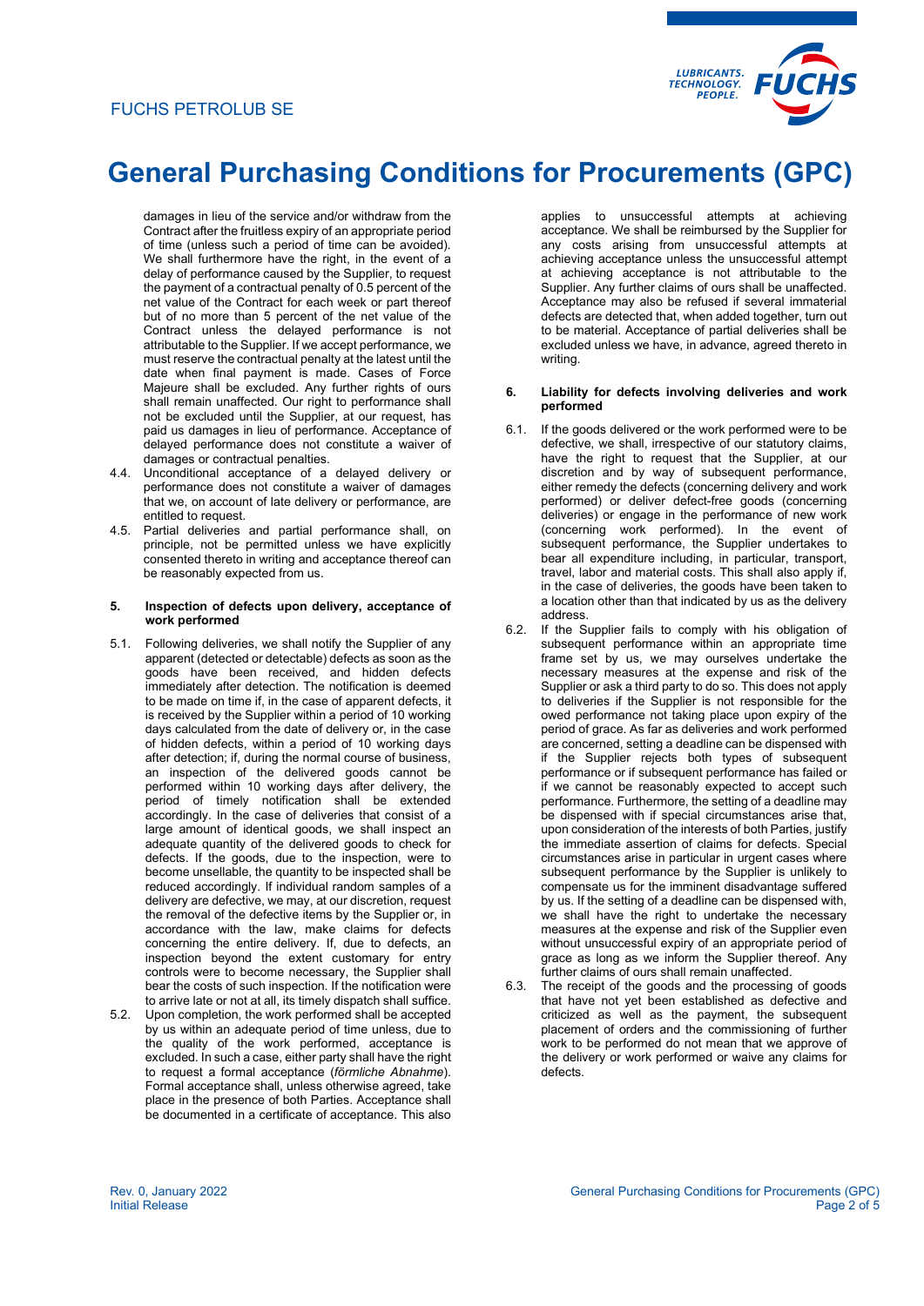

damages in lieu of the service and/or withdraw from the Contract after the fruitless expiry of an appropriate period of time (unless such a period of time can be avoided). We shall furthermore have the right, in the event of a delay of performance caused by the Supplier, to request the payment of a contractual penalty of 0.5 percent of the net value of the Contract for each week or part thereof but of no more than 5 percent of the net value of the Contract unless the delayed performance is not attributable to the Supplier. If we accept performance, we must reserve the contractual penalty at the latest until the date when final payment is made. Cases of Force Majeure shall be excluded. Any further rights of ours shall remain unaffected. Our right to performance shall not be excluded until the Supplier, at our request, has paid us damages in lieu of performance. Acceptance of delayed performance does not constitute a waiver of damages or contractual penalties.

- 4.4. Unconditional acceptance of a delayed delivery or performance does not constitute a waiver of damages that we, on account of late delivery or performance, are entitled to request.
- 4.5. Partial deliveries and partial performance shall, on principle, not be permitted unless we have explicitly consented thereto in writing and acceptance thereof can be reasonably expected from us.

#### **5. Inspection of defects upon delivery, acceptance of work performed**

- 5.1. Following deliveries, we shall notify the Supplier of any apparent (detected or detectable) defects as soon as the goods have been received, and hidden defects immediately after detection. The notification is deemed to be made on time if, in the case of apparent defects, it is received by the Supplier within a period of 10 working days calculated from the date of delivery or, in the case of hidden defects, within a period of 10 working days after detection; if, during the normal course of business, an inspection of the delivered goods cannot be performed within 10 working days after delivery, the period of timely notification shall be extended accordingly. In the case of deliveries that consist of a large amount of identical goods, we shall inspect an adequate quantity of the delivered goods to check for defects. If the goods, due to the inspection, were to become unsellable, the quantity to be inspected shall be reduced accordingly. If individual random samples of a delivery are defective, we may, at our discretion, request the removal of the defective items by the Supplier or, in accordance with the law, make claims for defects concerning the entire delivery. If, due to defects, an inspection beyond the extent customary for entry controls were to become necessary, the Supplier shall bear the costs of such inspection. If the notification were to arrive late or not at all, its timely dispatch shall suffice.
- 5.2. Upon completion, the work performed shall be accepted by us within an adequate period of time unless, due to the quality of the work performed, acceptance is excluded. In such a case, either party shall have the right to request a formal acceptance (*förmliche Abnahme*). Formal acceptance shall, unless otherwise agreed, take place in the presence of both Parties. Acceptance shall be documented in a certificate of acceptance. This also

applies to unsuccessful attempts at achieving acceptance. We shall be reimbursed by the Supplier for any costs arising from unsuccessful attempts at achieving acceptance unless the unsuccessful attempt at achieving acceptance is not attributable to the Supplier. Any further claims of ours shall be unaffected. Acceptance may also be refused if several immaterial defects are detected that, when added together, turn out to be material. Acceptance of partial deliveries shall be excluded unless we have, in advance, agreed thereto in writing.

#### **6. Liability for defects involving deliveries and work performed**

- 6.1. If the goods delivered or the work performed were to be defective, we shall, irrespective of our statutory claims, have the right to request that the Supplier, at our discretion and by way of subsequent performance, either remedy the defects (concerning delivery and work performed) or deliver defect-free goods (concerning deliveries) or engage in the performance of new work (concerning work performed). In the event of subsequent performance, the Supplier undertakes to bear all expenditure including, in particular, transport, travel, labor and material costs. This shall also apply if, in the case of deliveries, the goods have been taken to a location other than that indicated by us as the delivery address.
- 6.2. If the Supplier fails to comply with his obligation of subsequent performance within an appropriate time frame set by us, we may ourselves undertake the necessary measures at the expense and risk of the Supplier or ask a third party to do so. This does not apply to deliveries if the Supplier is not responsible for the owed performance not taking place upon expiry of the period of grace. As far as deliveries and work performed are concerned, setting a deadline can be dispensed with if the Supplier rejects both types of subsequent performance or if subsequent performance has failed or if we cannot be reasonably expected to accept such performance. Furthermore, the setting of a deadline may be dispensed with if special circumstances arise that, upon consideration of the interests of both Parties, justify the immediate assertion of claims for defects. Special circumstances arise in particular in urgent cases where subsequent performance by the Supplier is unlikely to compensate us for the imminent disadvantage suffered by us. If the setting of a deadline can be dispensed with, we shall have the right to undertake the necessary measures at the expense and risk of the Supplier even without unsuccessful expiry of an appropriate period of grace as long as we inform the Supplier thereof. Any further claims of ours shall remain unaffected.
- 6.3. The receipt of the goods and the processing of goods that have not yet been established as defective and criticized as well as the payment, the subsequent placement of orders and the commissioning of further work to be performed do not mean that we approve of the delivery or work performed or waive any claims for defects.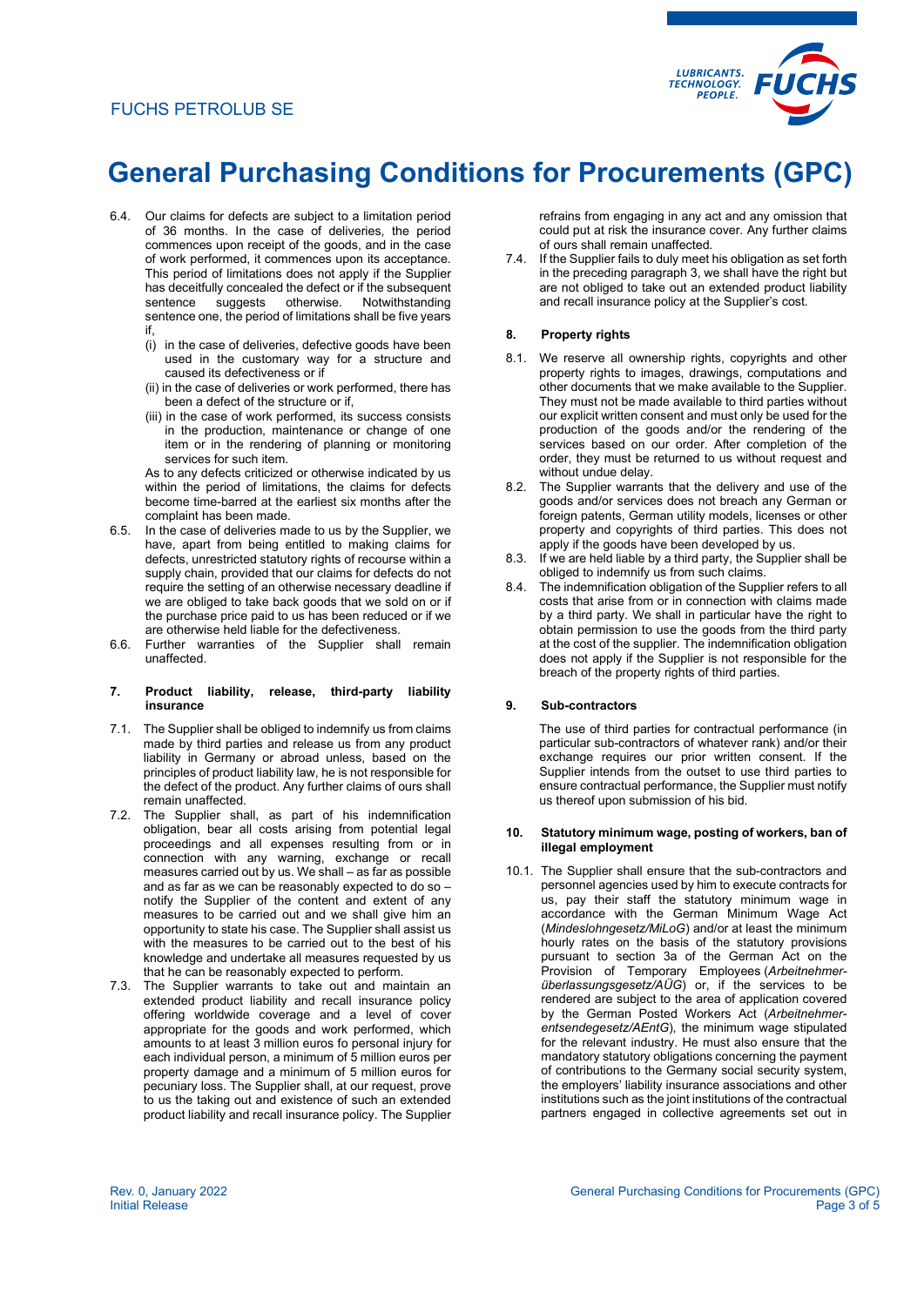# FUCHS PETROLUB SE



# **General Purchasing Conditions for Procurements (GPC)**

- 6.4. Our claims for defects are subject to a limitation period of 36 months. In the case of deliveries, the period commences upon receipt of the goods, and in the case of work performed, it commences upon its acceptance. This period of limitations does not apply if the Supplier has deceitfully concealed the defect or if the subsequent sentence suggests otherwise. Notwithstanding sentence one, the period of limitations shall be five years if,
	- (i) in the case of deliveries, defective goods have been used in the customary way for a structure and caused its defectiveness or if
	- (ii) in the case of deliveries or work performed, there has been a defect of the structure or if
	- (iii) in the case of work performed, its success consists in the production, maintenance or change of one item or in the rendering of planning or monitoring services for such item.

As to any defects criticized or otherwise indicated by us within the period of limitations, the claims for defects become time-barred at the earliest six months after the complaint has been made.

- 6.5. In the case of deliveries made to us by the Supplier, we have, apart from being entitled to making claims for defects, unrestricted statutory rights of recourse within a supply chain, provided that our claims for defects do not require the setting of an otherwise necessary deadline if we are obliged to take back goods that we sold on or if the purchase price paid to us has been reduced or if we are otherwise held liable for the defectiveness.
- 6.6. Further warranties of the Supplier shall remain unaffected.

#### **7. Product liability, release, third-party liability insurance**

- 7.1. The Supplier shall be obliged to indemnify us from claims made by third parties and release us from any product liability in Germany or abroad unless, based on the principles of product liability law, he is not responsible for the defect of the product. Any further claims of ours shall remain unaffected.
- 7.2. The Supplier shall, as part of his indemnification obligation, bear all costs arising from potential legal proceedings and all expenses resulting from or in connection with any warning, exchange or recall measures carried out by us. We shall – as far as possible and as far as we can be reasonably expected to do so – notify the Supplier of the content and extent of any measures to be carried out and we shall give him an opportunity to state his case. The Supplier shall assist us with the measures to be carried out to the best of his knowledge and undertake all measures requested by us that he can be reasonably expected to perform.
- 7.3. The Supplier warrants to take out and maintain an extended product liability and recall insurance policy offering worldwide coverage and a level of cover appropriate for the goods and work performed, which amounts to at least 3 million euros fo personal injury for each individual person, a minimum of 5 million euros per property damage and a minimum of 5 million euros for pecuniary loss. The Supplier shall, at our request, prove to us the taking out and existence of such an extended product liability and recall insurance policy. The Supplier

refrains from engaging in any act and any omission that could put at risk the insurance cover. Any further claims of ours shall remain unaffected.

7.4. If the Supplier fails to duly meet his obligation as set forth in the preceding paragraph 3, we shall have the right but are not obliged to take out an extended product liability and recall insurance policy at the Supplier's cost.

### **8. Property rights**

- 8.1. We reserve all ownership rights, copyrights and other property rights to images, drawings, computations and other documents that we make available to the Supplier. They must not be made available to third parties without our explicit written consent and must only be used for the production of the goods and/or the rendering of the services based on our order. After completion of the order, they must be returned to us without request and without undue delay.
- 8.2. The Supplier warrants that the delivery and use of the goods and/or services does not breach any German or foreign patents, German utility models, licenses or other property and copyrights of third parties. This does not apply if the goods have been developed by us.
- 8.3. If we are held liable by a third party, the Supplier shall be obliged to indemnify us from such claims.
- 8.4. The indemnification obligation of the Supplier refers to all costs that arise from or in connection with claims made by a third party. We shall in particular have the right to obtain permission to use the goods from the third party at the cost of the supplier. The indemnification obligation does not apply if the Supplier is not responsible for the breach of the property rights of third parties.

#### **9. Sub-contractors**

The use of third parties for contractual performance (in particular sub-contractors of whatever rank) and/or their exchange requires our prior written consent. If the Supplier intends from the outset to use third parties to ensure contractual performance, the Supplier must notify us thereof upon submission of his bid.

#### **10. Statutory minimum wage, posting of workers, ban of illegal employment**

10.1. The Supplier shall ensure that the sub-contractors and personnel agencies used by him to execute contracts for us, pay their staff the statutory minimum wage in accordance with the German Minimum Wage Act (*Mindeslohngesetz/MiLoG*) and/or at least the minimum hourly rates on the basis of the statutory provisions pursuant to section 3a of the German Act on the Provision of Temporary Employees (*Arbeitnehmerüberlassungsgesetz/AÜG*) or, if the services to be rendered are subject to the area of application covered by the German Posted Workers Act (*Arbeitnehmerentsendegesetz/AEntG*), the minimum wage stipulated for the relevant industry. He must also ensure that the mandatory statutory obligations concerning the payment of contributions to the Germany social security system, the employers' liability insurance associations and other institutions such as the joint institutions of the contractual partners engaged in collective agreements set out in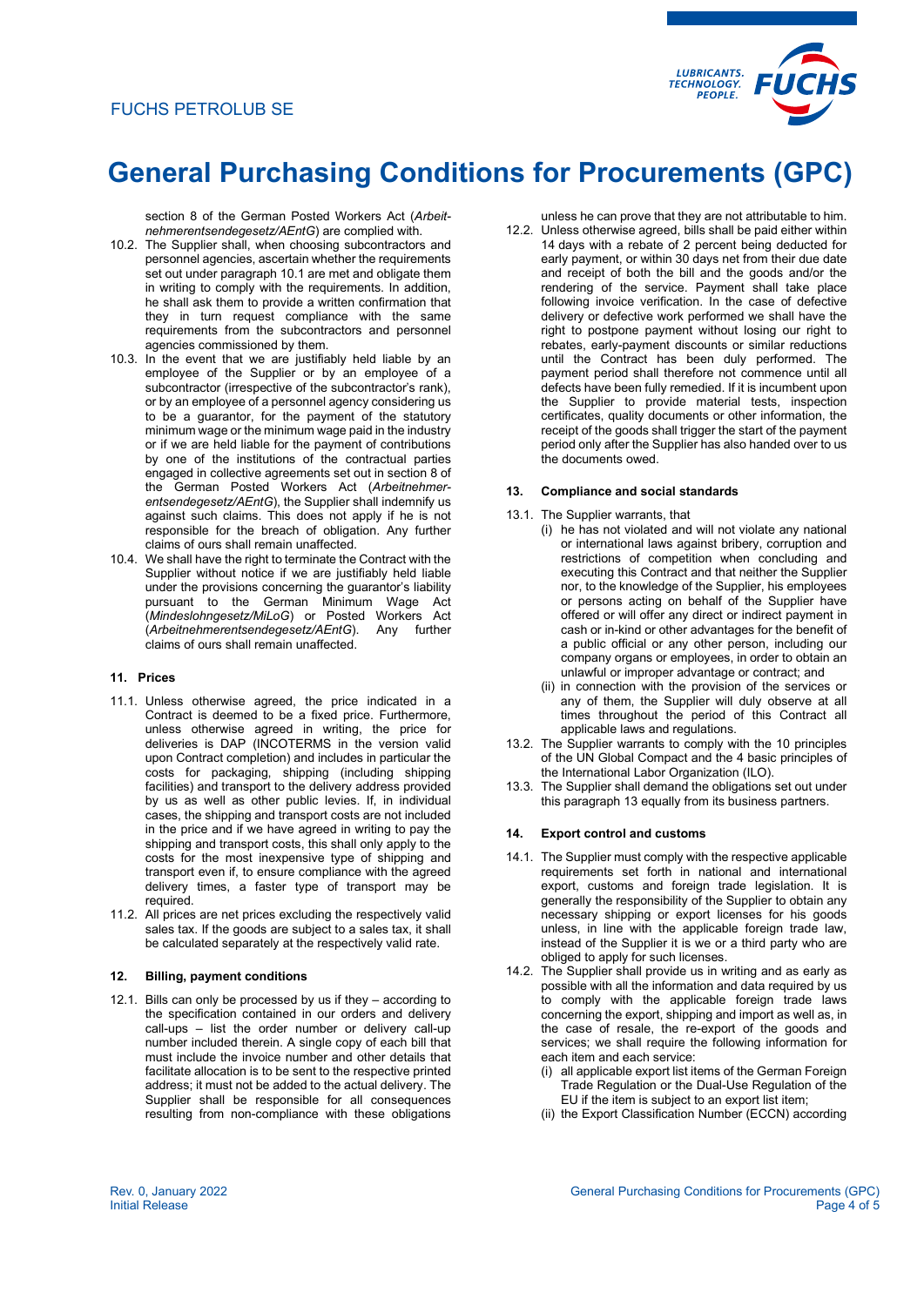

section 8 of the German Posted Workers Act (*Arbeitnehmerentsendegesetz/AEntG*) are complied with.

- 10.2. The Supplier shall, when choosing subcontractors and personnel agencies, ascertain whether the requirements set out under paragraph 10.1 are met and obligate them in writing to comply with the requirements. In addition, he shall ask them to provide a written confirmation that they in turn request compliance with the same requirements from the subcontractors and personnel agencies commissioned by them.
- 10.3. In the event that we are justifiably held liable by an employee of the Supplier or by an employee of a subcontractor (irrespective of the subcontractor's rank), or by an employee of a personnel agency considering us to be a guarantor, for the payment of the statutory minimum wage or the minimum wage paid in the industry or if we are held liable for the payment of contributions by one of the institutions of the contractual parties engaged in collective agreements set out in section 8 of the German Posted Workers Act (*Arbeitnehmerentsendegesetz/AEntG*), the Supplier shall indemnify us against such claims. This does not apply if he is not responsible for the breach of obligation. Any further claims of ours shall remain unaffected.
- 10.4. We shall have the right to terminate the Contract with the Supplier without notice if we are justifiably held liable under the provisions concerning the guarantor's liability pursuant to the German Minimum Wage Act (*Mindeslohngesetz/MiLoG*) or Posted Workers Act (*Arbeitnehmerentsendegesetz/AEntG*). Any further claims of ours shall remain unaffected.

### **11. Prices**

- 11.1. Unless otherwise agreed, the price indicated in a Contract is deemed to be a fixed price. Furthermore, unless otherwise agreed in writing, the price for deliveries is DAP (INCOTERMS in the version valid upon Contract completion) and includes in particular the costs for packaging, shipping (including shipping facilities) and transport to the delivery address provided by us as well as other public levies. If, in individual cases, the shipping and transport costs are not included in the price and if we have agreed in writing to pay the shipping and transport costs, this shall only apply to the costs for the most inexpensive type of shipping and transport even if, to ensure compliance with the agreed delivery times, a faster type of transport may be required.
- 11.2. All prices are net prices excluding the respectively valid sales tax. If the goods are subject to a sales tax, it shall be calculated separately at the respectively valid rate.

# **12. Billing, payment conditions**

12.1. Bills can only be processed by us if they – according to the specification contained in our orders and delivery call-ups – list the order number or delivery call-up number included therein. A single copy of each bill that must include the invoice number and other details that facilitate allocation is to be sent to the respective printed address; it must not be added to the actual delivery. The Supplier shall be responsible for all consequences resulting from non-compliance with these obligations

unless he can prove that they are not attributable to him.

12.2. Unless otherwise agreed, bills shall be paid either within 14 days with a rebate of 2 percent being deducted for early payment, or within 30 days net from their due date and receipt of both the bill and the goods and/or the rendering of the service. Payment shall take place following invoice verification. In the case of defective delivery or defective work performed we shall have the right to postpone payment without losing our right to rebates, early-payment discounts or similar reductions until the Contract has been duly performed. The payment period shall therefore not commence until all defects have been fully remedied. If it is incumbent upon the Supplier to provide material tests, inspection certificates, quality documents or other information, the receipt of the goods shall trigger the start of the payment period only after the Supplier has also handed over to us the documents owed.

#### **13. Compliance and social standards**

- 13.1. The Supplier warrants, that
	- (i) he has not violated and will not violate any national or international laws against bribery, corruption and restrictions of competition when concluding and executing this Contract and that neither the Supplier nor, to the knowledge of the Supplier, his employees or persons acting on behalf of the Supplier have offered or will offer any direct or indirect payment in cash or in-kind or other advantages for the benefit of a public official or any other person, including our company organs or employees, in order to obtain an unlawful or improper advantage or contract; and
	- (ii) in connection with the provision of the services or any of them, the Supplier will duly observe at all times throughout the period of this Contract all applicable laws and regulations.
- 13.2. The Supplier warrants to comply with the 10 principles of the UN Global Compact and the 4 basic principles of the International Labor Organization (ILO).
- 13.3. The Supplier shall demand the obligations set out under this paragraph 13 equally from its business partners.

## **14. Export control and customs**

- 14.1. The Supplier must comply with the respective applicable requirements set forth in national and international export, customs and foreign trade legislation. It is generally the responsibility of the Supplier to obtain any necessary shipping or export licenses for his goods unless, in line with the applicable foreign trade law, instead of the Supplier it is we or a third party who are obliged to apply for such licenses.
- 14.2. The Supplier shall provide us in writing and as early as possible with all the information and data required by us to comply with the applicable foreign trade laws concerning the export, shipping and import as well as, in the case of resale, the re-export of the goods and services; we shall require the following information for each item and each service:
	- (i) all applicable export list items of the German Foreign Trade Regulation or the Dual-Use Regulation of the EU if the item is subject to an export list item;
	- (ii) the Export Classification Number (ECCN) according

General Purchasing Conditions for Procurements (GPC) Page 4 of 5